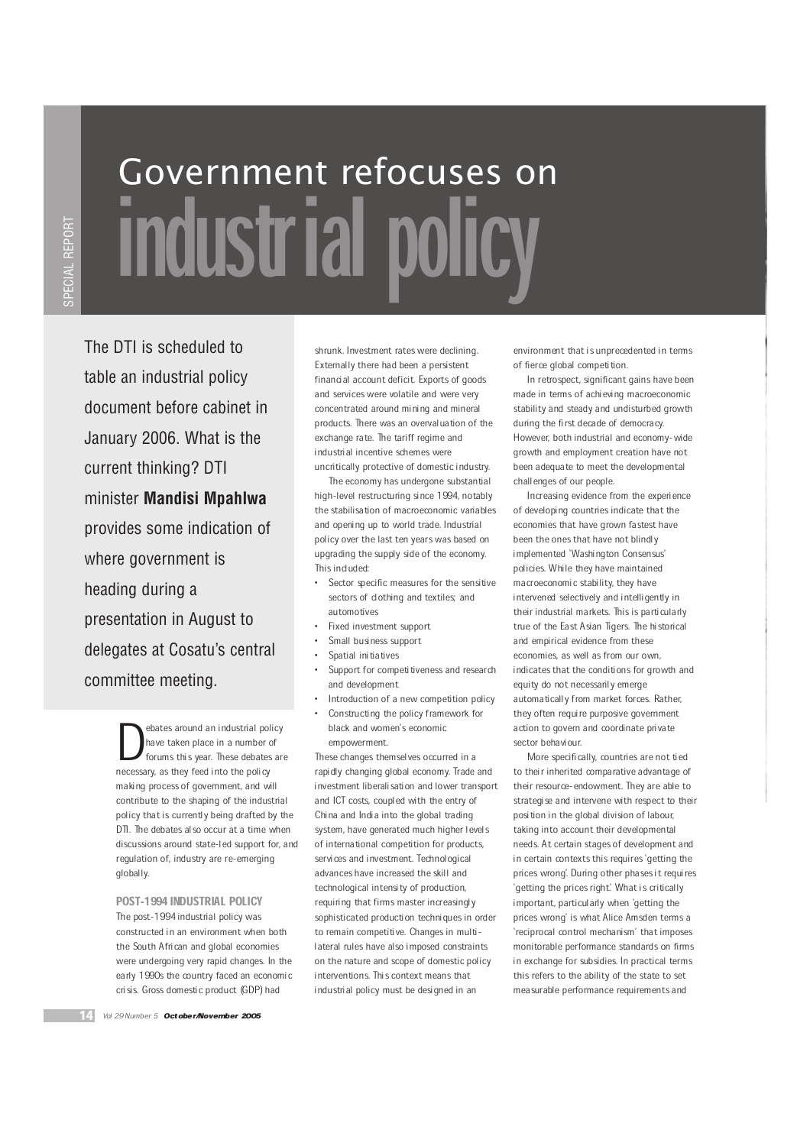SPECIAL REPORT SPECIAL REPORT

## Government refocuses on ndustrial

The DTI is scheduled to table an industrial policy document before cabinet in January 2006. What is the current thinking? DTI minister **Mandisi Mpahlwa** provides some indication of where government is heading during a presentation in August to delegates at Cosatu's central committee meeting.

> have taken place in a number<br>forums this year. These debates<br>necessary, as they feed into the policy ebates around an industrial policy have taken place in a number of forums this year. These debates are making process of government, and will contribute to the shaping of the industrial policy that is currently being drafted by the DTI. The debates also occur at a time when discussions around state-led support for, and regulation of, industry are re-emerging globally.

POST-1994 INDUSTRIAL POLICY The post-1994 industrial policy was constructed in an environment when both the South African and global economies were undergoing very rapid changes. In the early 1990s the country faced an economic crisis. Gross domestic product (GDP) had

shrunk. Investment rates were declining. Externally there had been a persistent financial account deficit. Exports of goods and services were volatile and were very concentrated around mining and mineral products. There was an overvaluation of the exchange rate. The tariff regime and industrial incentive schemes were

uncritically protective of domestic industry. The economy has undergone substantial high-level restructuring since 1994, notably the stabilisation of macroeconomic variables and opening up to world trade. Industrial policy over the last ten years was based on

- upgrading the supply side of the economy. This included: · Sector specific measures for the sensitive
- sectors of clothing and textiles; and automotives
- Fixed investment support
- Small business support
- Spatial initiatives
- Support for competitiveness and research and development
- Introduction of a new competition policy
- Constructing the policy framework for black and women's economic empowerment.

These changes themselves occurred in a rapidly changing global economy. Trade and investment liberalisation and lower transport and ICT costs, coupled with the entry of China and India into the global trading system, have generated much higher levels of international competition for products, services and investment. Technological advances have increased the skill and technological intensity of production, requiring that firms master increasingly sophisticated production techniques in order to remain competitive. Changes in multilateral rules have also imposed constraints on the nature and scope of domestic policy interventions. This context means that industrial policy must be designed in an

environment that is unprecedented in terms of fierce global competition.

In retrospect, significant gains have been made in terms of achieving macroeconomic stability and steady and undisturbed growth during the first decade of democracy. However, both industrial and economy-wide growth and employment creation have not been adequate to meet the developmental challenges of our people.

Increasing evidence from the experience of developing countries indicate that the economies that have grown fastest have been the ones that have not blindly implemented `Washington Consensus' policies. While they have maintained macroeconomic stability, they have intervened selectively and intelligently in their industrial markets. This is particularly true of the East Asian Tigers. The historical and empirical evidence from these economies, as well as from our own, indicates that the conditions for growth and equity do not necessarily emerge automatically from market forces. Rather, they often require purposive government action to govern and coordinate private sector behaviour.

More specifically, countries are not tied to their inherited comparative advantage of their resource-endowment. They are able to strategise and intervene with respect to their position in the global division of labour, taking into account their developmental needs. At certain stages of development and in certain contexts this requires `getting the prices wrong'. During other phases it requires `getting the prices right'. What is critically important, particularly when `getting the prices wrong' is what Alice Amsden terms a `reciprocal control mechanism' that imposes monitorable performance standards on firms in exchange for subsidies. In practical terms this refers to the ability of the state to set measurable performance requirements and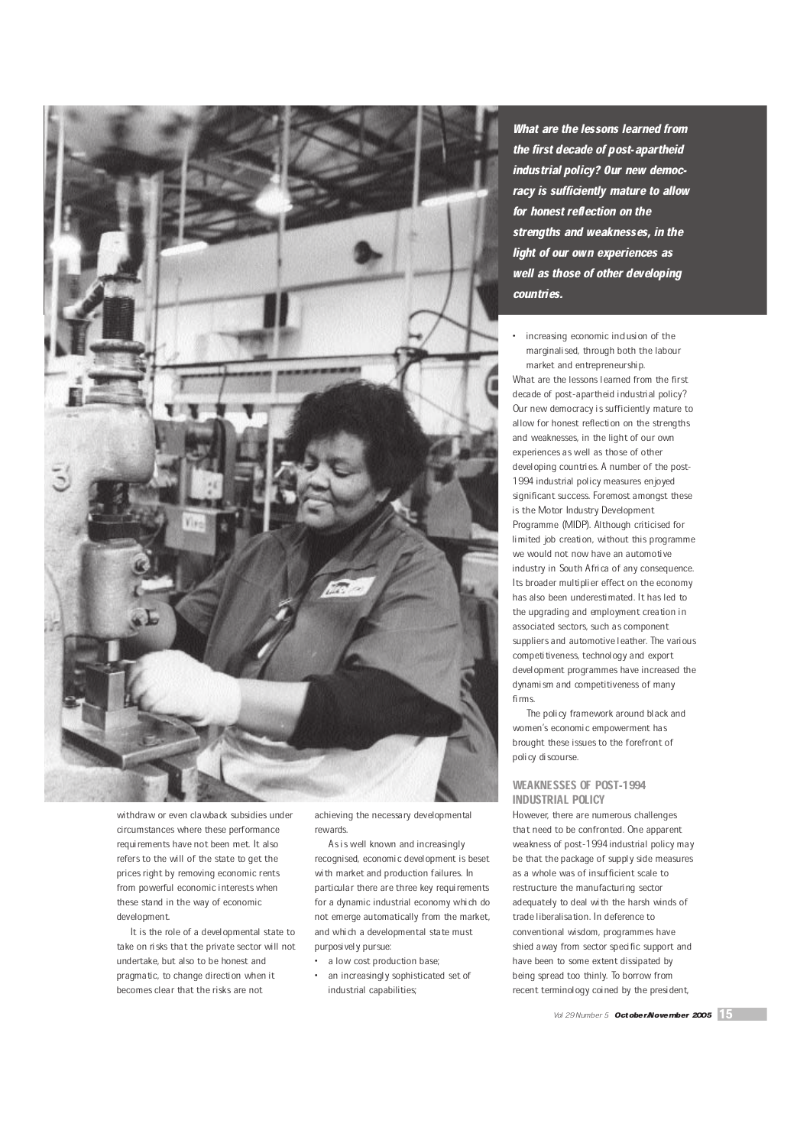

withdraw or even clawback subsidies under circumstances where these performance requirements have not been met. It also refers to the will of the state to get the prices right by removing economic rents from powerful economic interests when these stand in the way of economic development.

It is the role of a developmental state to take on risks that the private sector will not undertake, but also to be honest and pragmatic, to change direction when it becomes clear that the risks are not

achieving the necessary developmental rewards.

As is well known and increasingly recognised, economic development is beset with market and production failures. In particular there are three key requirements for a dynamic industrial economy which do not emerge automatically from the market, and which a developmental state must purposively pursue:

- · a low cost production base;
- an increasingly sophisticated set of industrial capabilities;

What are the lessons learned from the first decade of post-apartheid industrial policy? Our new democracy is sufficiently mature to allow for honest reflection on the strengths and weaknesses, in the light of our own experiences as well as those of other developing countries.

increasing economic inclusion of the marginalised, through both the labour market and entrepreneurship.

What are the lessons learned from the first decade of post-apartheid industrial policy? Our new democracy is sufficiently mature to allow for honest reflection on the strengths and weaknesses, in the light of our own experiences as well as those of other developing countries. A number of the post-1994 industrial policy measures enjoyed significant success. Foremost amongst these is the Motor Industry Development Programme (MIDP). Although criticised for limited job creation, without this programme we would not now have an automotive industry in South Africa of any consequence. Its broader multiplier effect on the economy has also been underestimated. It has led to the upgrading and employment creation in associated sectors, such as component suppliers and automotive leather. The various competitiveness, technology and export development programmes have increased the dynamism and competitiveness of many firms.

The policy framework around black and women's economic empowerment has brought these issues to the forefront of policy discourse.

## WEAKNESSES OF POST-1994 INDUSTRIAL POLICY

However, there are numerous challenges that need to be confronted. One apparent weakness of post-1994 industrial policy may be that the package of supply side measures as a whole was of insufficient scale to restructure the manufacturing sector adequately to deal with the harsh winds of trade liberalisation. In deference to conventional wisdom, programmes have shied away from sector specific support and have been to some extent dissipated by being spread too thinly. To borrow from recent terminology coined by the president,